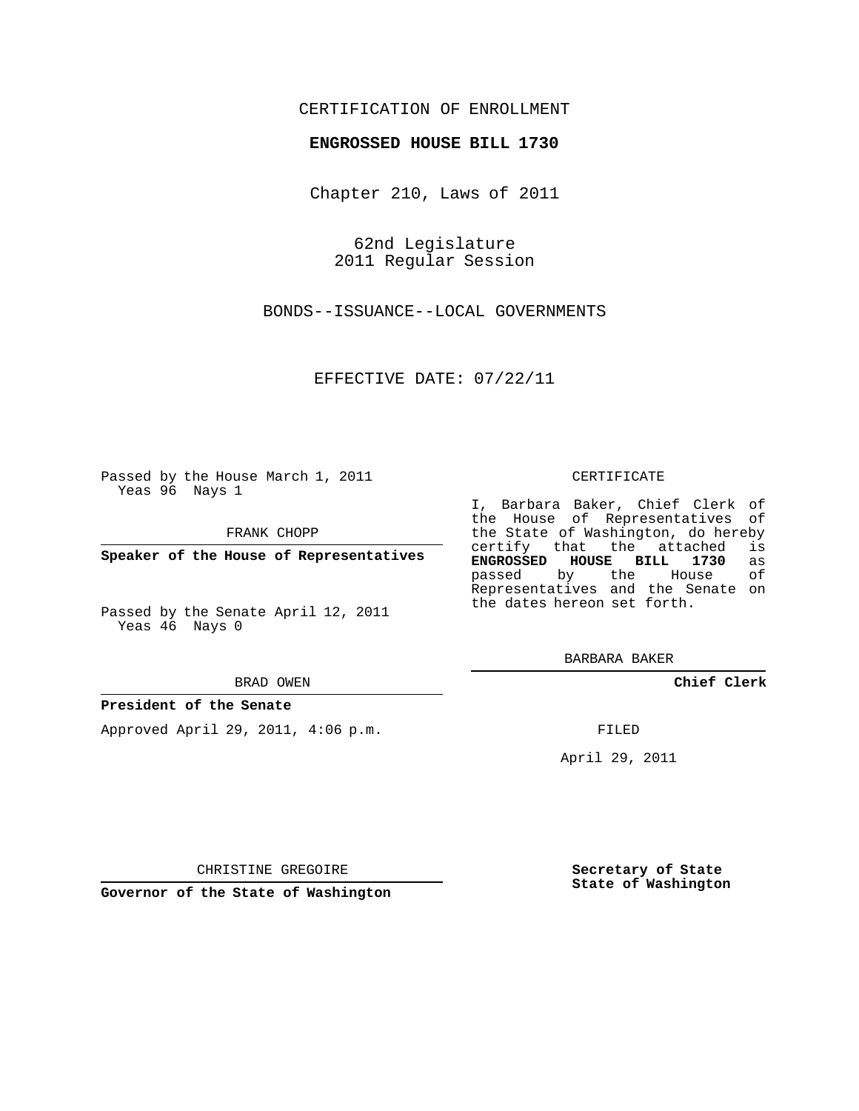# CERTIFICATION OF ENROLLMENT

## **ENGROSSED HOUSE BILL 1730**

Chapter 210, Laws of 2011

62nd Legislature 2011 Regular Session

BONDS--ISSUANCE--LOCAL GOVERNMENTS

EFFECTIVE DATE: 07/22/11

Passed by the House March 1, 2011 Yeas 96 Nays 1

FRANK CHOPP

**Speaker of the House of Representatives**

Passed by the Senate April 12, 2011 Yeas 46 Nays 0

#### BRAD OWEN

### **President of the Senate**

Approved April 29, 2011, 4:06 p.m.

#### CERTIFICATE

I, Barbara Baker, Chief Clerk of the House of Representatives of the State of Washington, do hereby<br>certify that the attached is certify that the attached is<br>**ENGROSSED HOUSE BILL 1730** as **ENGROSSED HOUSE BILL 1730** as passed by the House Representatives and the Senate on the dates hereon set forth.

BARBARA BAKER

**Chief Clerk**

FILED

April 29, 2011

CHRISTINE GREGOIRE

**Governor of the State of Washington**

**Secretary of State State of Washington**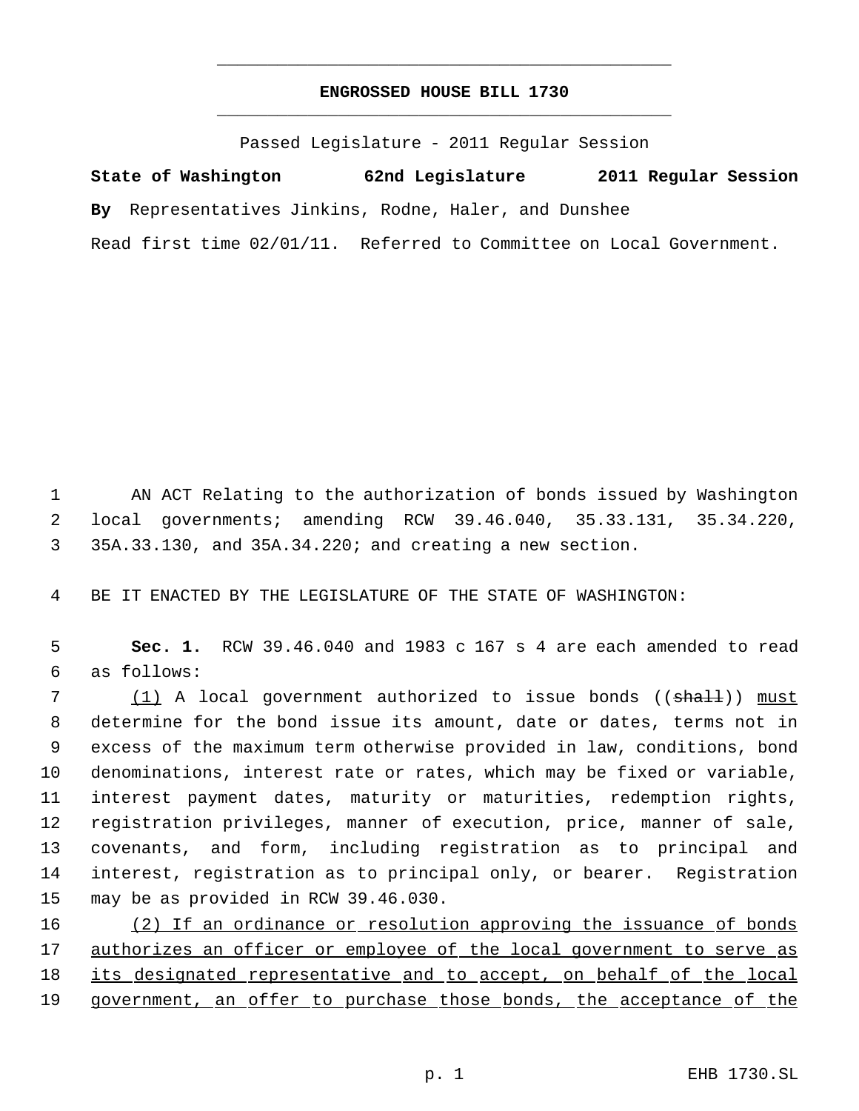# **ENGROSSED HOUSE BILL 1730** \_\_\_\_\_\_\_\_\_\_\_\_\_\_\_\_\_\_\_\_\_\_\_\_\_\_\_\_\_\_\_\_\_\_\_\_\_\_\_\_\_\_\_\_\_

\_\_\_\_\_\_\_\_\_\_\_\_\_\_\_\_\_\_\_\_\_\_\_\_\_\_\_\_\_\_\_\_\_\_\_\_\_\_\_\_\_\_\_\_\_

Passed Legislature - 2011 Regular Session

**State of Washington 62nd Legislature 2011 Regular Session By** Representatives Jinkins, Rodne, Haler, and Dunshee Read first time 02/01/11. Referred to Committee on Local Government.

 1 AN ACT Relating to the authorization of bonds issued by Washington 2 local governments; amending RCW 39.46.040, 35.33.131, 35.34.220, 3 35A.33.130, and 35A.34.220; and creating a new section.

4 BE IT ENACTED BY THE LEGISLATURE OF THE STATE OF WASHINGTON:

 5 **Sec. 1.** RCW 39.46.040 and 1983 c 167 s 4 are each amended to read 6 as follows:

7 (1) A local government authorized to issue bonds ((shall)) must determine for the bond issue its amount, date or dates, terms not in excess of the maximum term otherwise provided in law, conditions, bond denominations, interest rate or rates, which may be fixed or variable, interest payment dates, maturity or maturities, redemption rights, registration privileges, manner of execution, price, manner of sale, covenants, and form, including registration as to principal and interest, registration as to principal only, or bearer. Registration may be as provided in RCW 39.46.030.

16 (2) If an ordinance or resolution approving the issuance of bonds 17 authorizes an officer or employee of the local government to serve as 18 its designated representative and to accept, on behalf of the local 19 government, an offer to purchase those bonds, the acceptance of the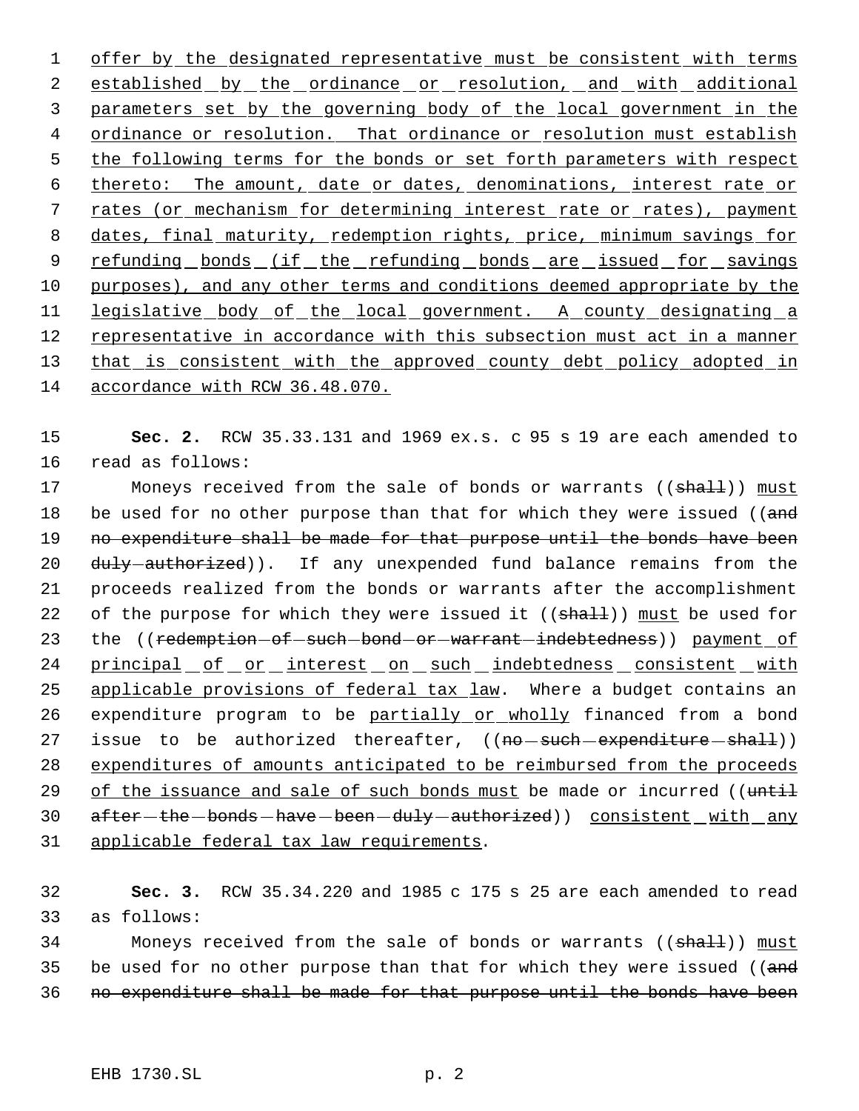1 offer by the designated representative must be consistent with terms 2 established by the ordinance or resolution, and with additional 3 parameters set by the governing body of the local government in the 4 ordinance or resolution. That ordinance or resolution must establish 5 the following terms for the bonds or set forth parameters with respect 6 thereto: The amount, date or dates, denominations, interest rate or 7 rates (or mechanism for determining interest rate or rates), payment 8 dates, final maturity, redemption rights, price, minimum savings for 9 refunding bonds (if the refunding bonds are issued for savings 10 purposes), and any other terms and conditions deemed appropriate by the 11 legislative body of the local government. A county designating a 12 representative in accordance with this subsection must act in a manner 13 that is consistent with the approved county debt policy adopted in 14 accordance with RCW 36.48.070.

15 **Sec. 2.** RCW 35.33.131 and 1969 ex.s. c 95 s 19 are each amended to 16 read as follows:

17 Moneys received from the sale of bonds or warrants ((shall)) must 18 be used for no other purpose than that for which they were issued ((and 19 no expenditure shall be made for that purpose until the bonds have been 20 duly authorized)). If any unexpended fund balance remains from the 21 proceeds realized from the bonds or warrants after the accomplishment 22 of the purpose for which they were issued it ((shall)) must be used for 23 the ((redemption-of-such-bond-or-warrant-indebtedness)) payment of 24 principal of or interest on such indebtedness consistent with 25 applicable provisions of federal tax law. Where a budget contains an 26 expenditure program to be partially or wholly financed from a bond 27 issue to be authorized thereafter, ((no-such-expenditure-shall)) 28 expenditures of amounts anticipated to be reimbursed from the proceeds 29 of the issuance and sale of such bonds must be made or incurred ((until 30 after-the-bonds-have-been-duly-authorized)) consistent with any 31 applicable federal tax law requirements.

32 **Sec. 3.** RCW 35.34.220 and 1985 c 175 s 25 are each amended to read 33 as follows:

34 Moneys received from the sale of bonds or warrants ((shall)) must 35 be used for no other purpose than that for which they were issued ((and 36 no expenditure shall be made for that purpose until the bonds have been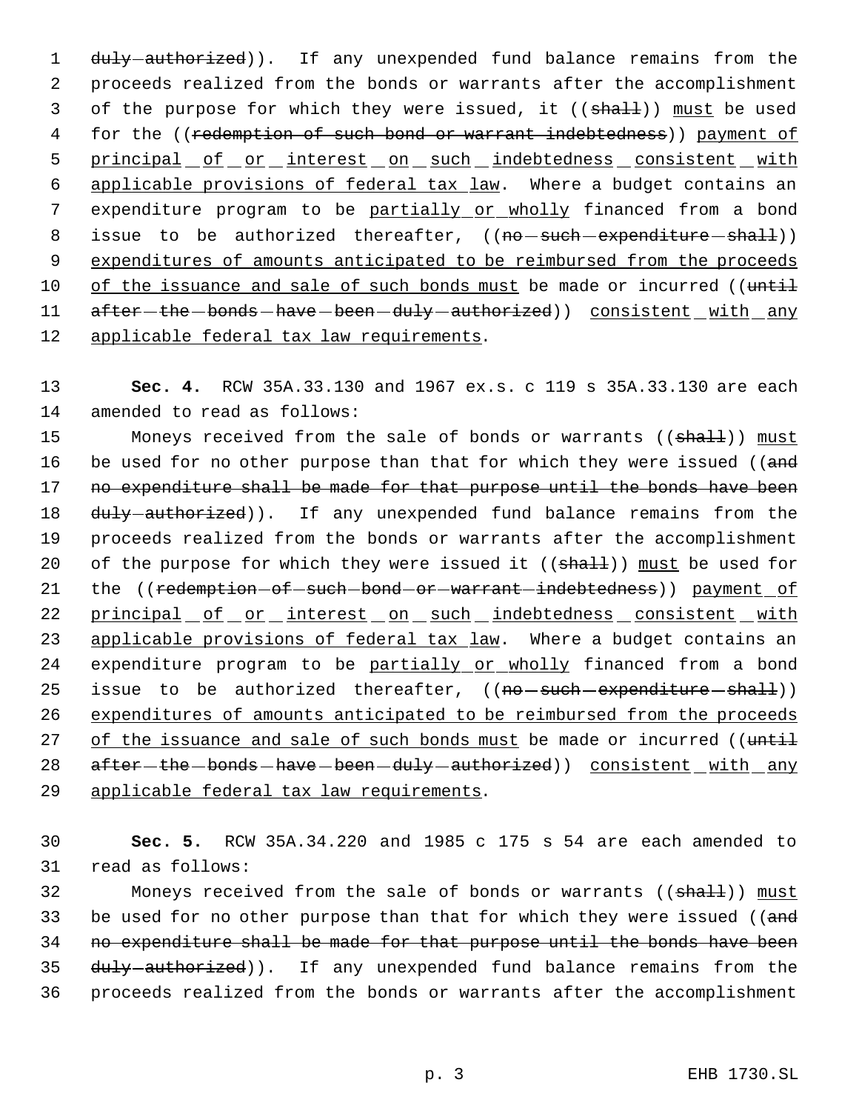1 duly-authorized)). If any unexpended fund balance remains from the 2 proceeds realized from the bonds or warrants after the accomplishment 3 of the purpose for which they were issued, it ((shall)) must be used 4 for the ((redemption of such bond or warrant indebtedness)) payment of 5 principal of or interest on such indebtedness consistent with 6 applicable provisions of federal tax law. Where a budget contains an 7 expenditure program to be partially or wholly financed from a bond 8 issue to be authorized thereafter, ((no-such-expenditure-shall)) 9 expenditures of amounts anticipated to be reimbursed from the proceeds 10 of the issuance and sale of such bonds must be made or incurred ((until 11 after-the-bonds-have-been-duly-authorized)) consistent with any 12 applicable federal tax law requirements.

13 **Sec. 4.** RCW 35A.33.130 and 1967 ex.s. c 119 s 35A.33.130 are each 14 amended to read as follows:

15 Moneys received from the sale of bonds or warrants ((shall)) must 16 be used for no other purpose than that for which they were issued ((and 17 no expenditure shall be made for that purpose until the bonds have been 18 duly-authorized)). If any unexpended fund balance remains from the 19 proceeds realized from the bonds or warrants after the accomplishment 20 of the purpose for which they were issued it  $((shall))$  must be used for 21 the ((redemption-of-such-bond-or-warrant-indebtedness)) payment of 22 principal of or interest on such indebtedness consistent with 23 applicable provisions of federal tax law. Where a budget contains an 24 expenditure program to be partially or wholly financed from a bond 25 issue to be authorized thereafter, ((no-such-expenditure-shall)) 26 expenditures of amounts anticipated to be reimbursed from the proceeds 27 of the issuance and sale of such bonds must be made or incurred ((until 28 after-the-bonds-have-been-duly-authorized)) consistent with any 29 applicable federal tax law requirements.

30 **Sec. 5.** RCW 35A.34.220 and 1985 c 175 s 54 are each amended to 31 read as follows:

32 Moneys received from the sale of bonds or warrants ((shall)) must 33 be used for no other purpose than that for which they were issued ((and 34 no expenditure shall be made for that purpose until the bonds have been 35 duly-authorized)). If any unexpended fund balance remains from the 36 proceeds realized from the bonds or warrants after the accomplishment